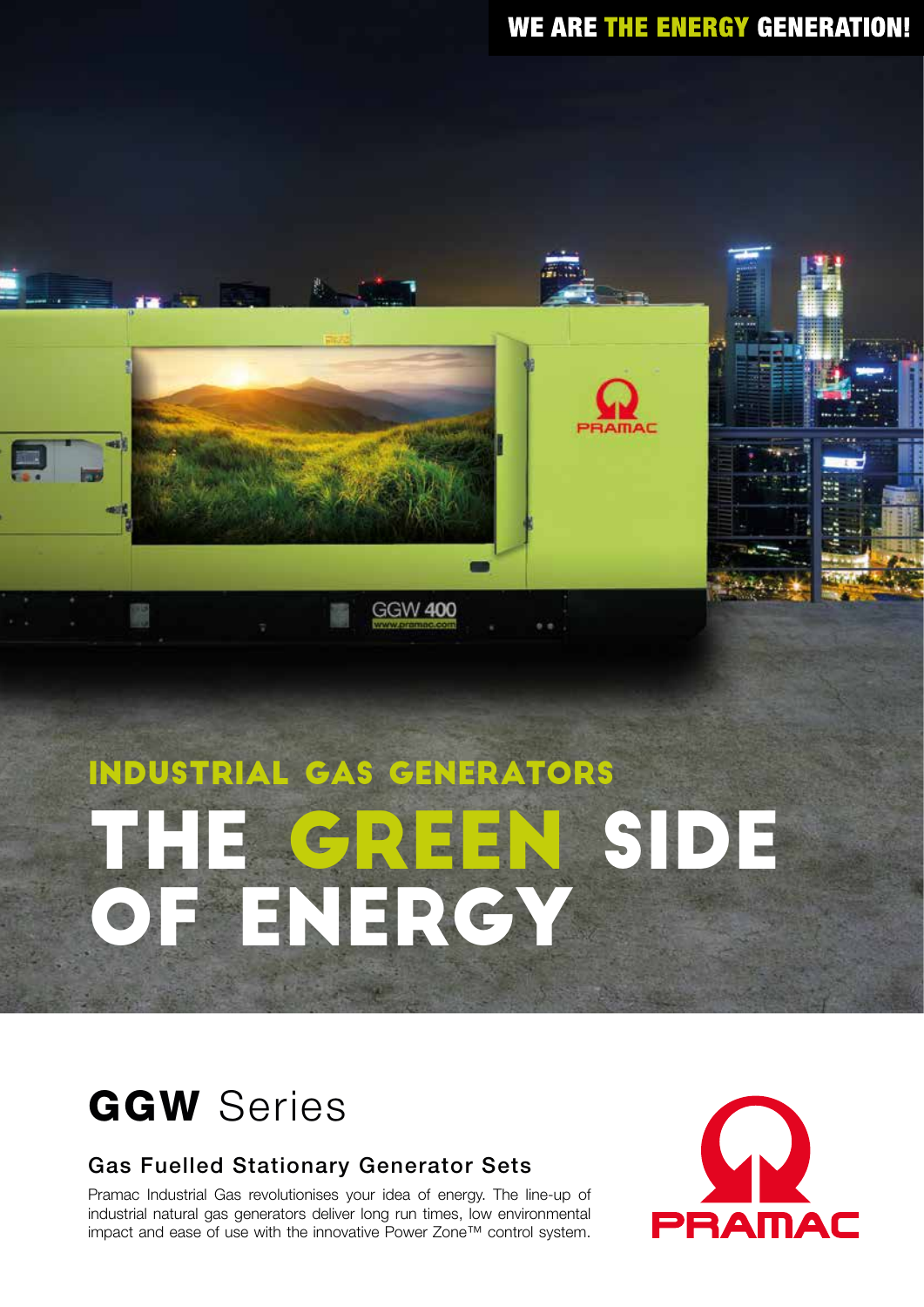

# THE GREEN SIDE OF ENERGY INDUSTRIAL GAS GENERATORS

# GGW Series

### Gas Fuelled Stationary Generator Sets

Pramac Industrial Gas revolutionises your idea of energy. The line-up of industrial natural gas generators deliver long run times, low environmental impact and ease of use with the innovative Power Zone™ control system.

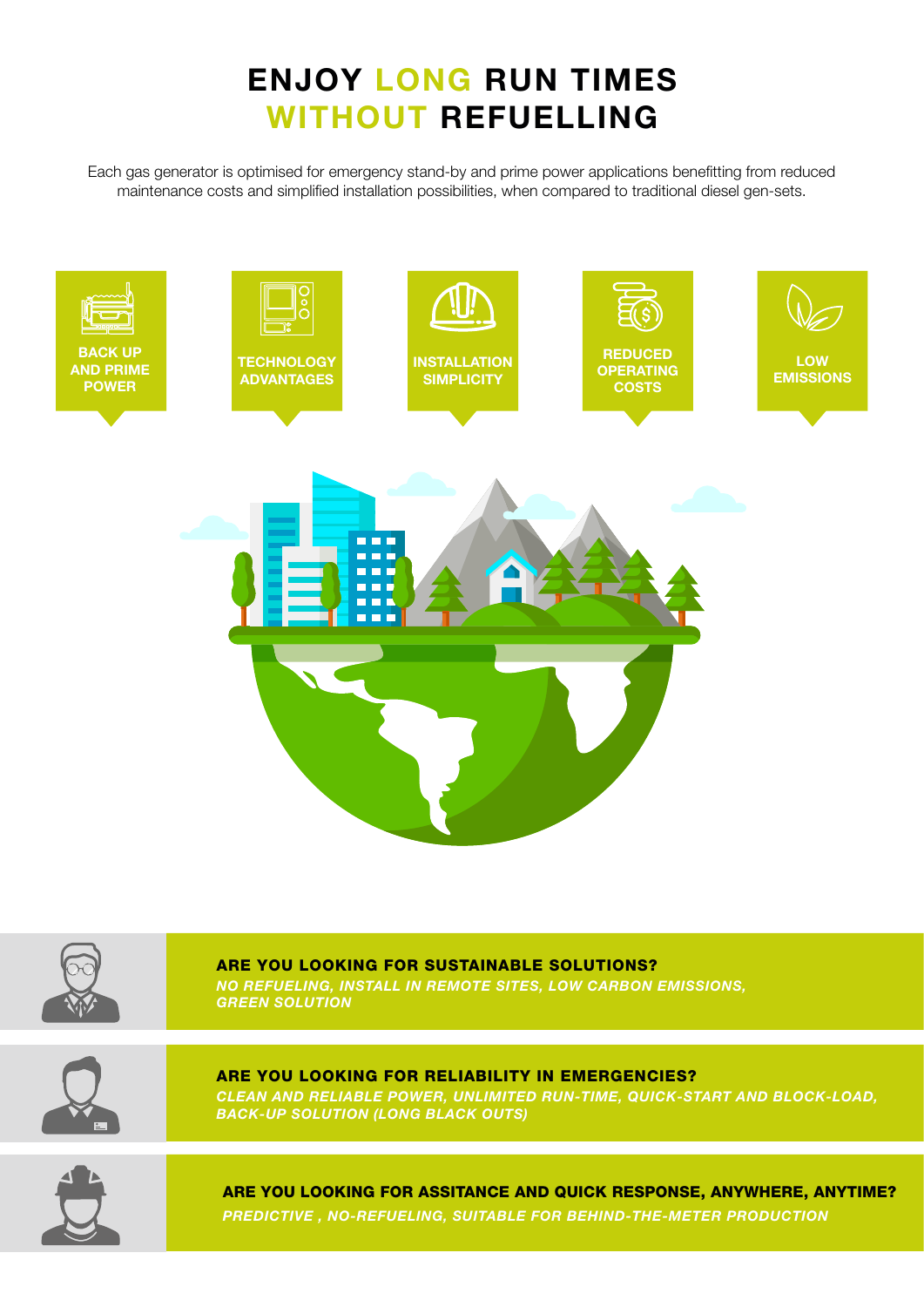# ENJOY LONG RUN TIMES WITHOUT REFUELLING

Each gas generator is optimised for emergency stand-by and prime power applications benefitting from reduced maintenance costs and simplified installation possibilities, when compared to traditional diesel gen-sets.





ARE YOU LOOKING FOR SUSTAINABLE SOLUTIONS? *NO REFUELING, INSTALL IN REMOTE SITES, LOW CARBON EMISSIONS, GREEN SOLUTION*



*CLEAN AND RELIABLE POWER, UNLIMITED RUN-TIME, QUICK-START AND BLOCK-LOAD, BACK-UP SOLUTION (LONG BLACK OUTS)* ARE YOU LOOKING FOR RELIABILITY IN EMERGENCIES?



*PREDICTIVE , NO-REFUELING, SUITABLE FOR BEHIND-THE-METER PRODUCTION*  ARE YOU LOOKING FOR ASSITANCE AND QUICK RESPONSE, ANYWHERE, ANYTIME?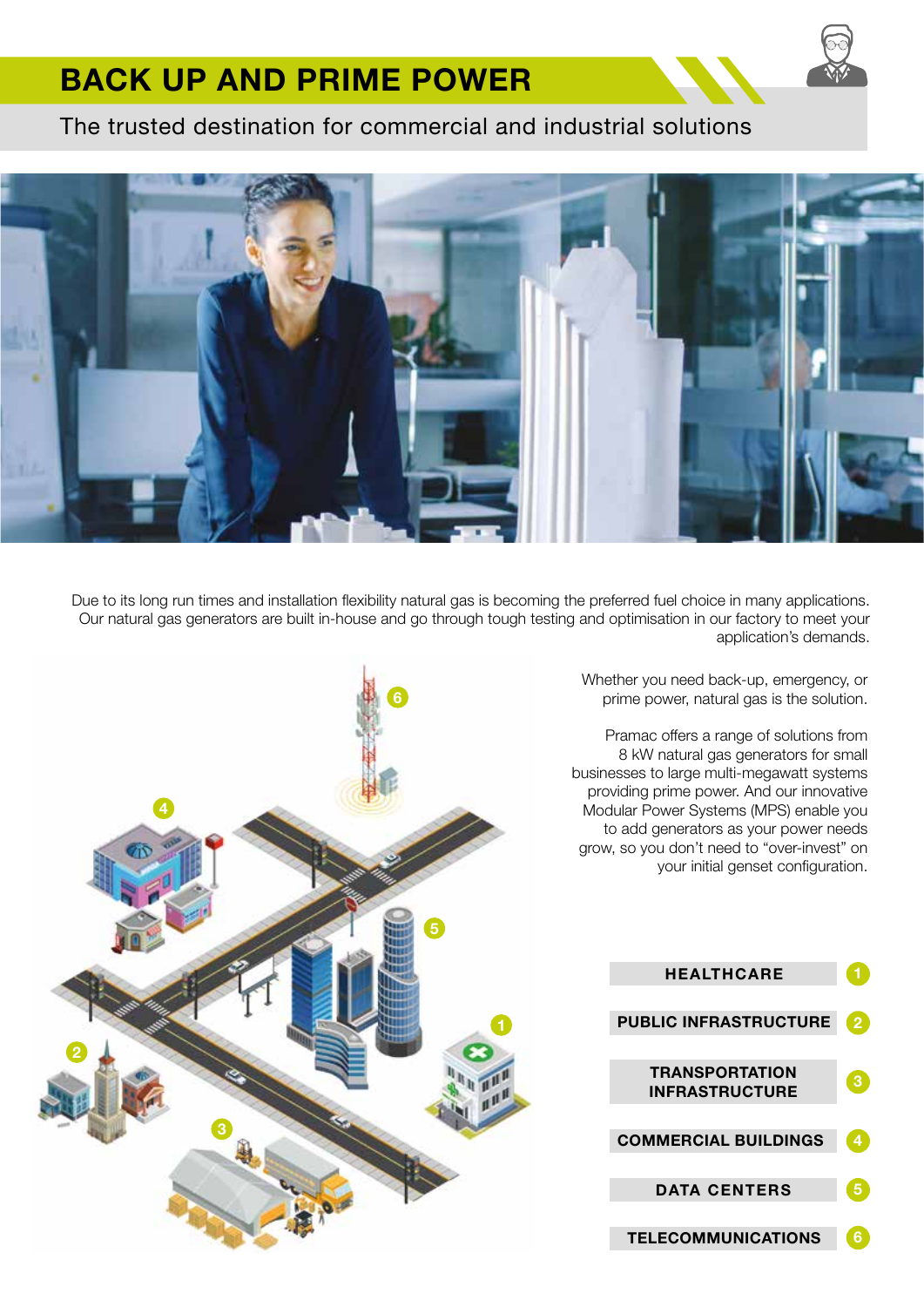# BACK UP AND PRIME POWER

The trusted destination for commercial and industrial solutions



Due to its long run times and installation flexibility natural gas is becoming the preferred fuel choice in many applications. Our natural gas generators are built in-house and go through tough testing and optimisation in our factory to meet your application's demands.

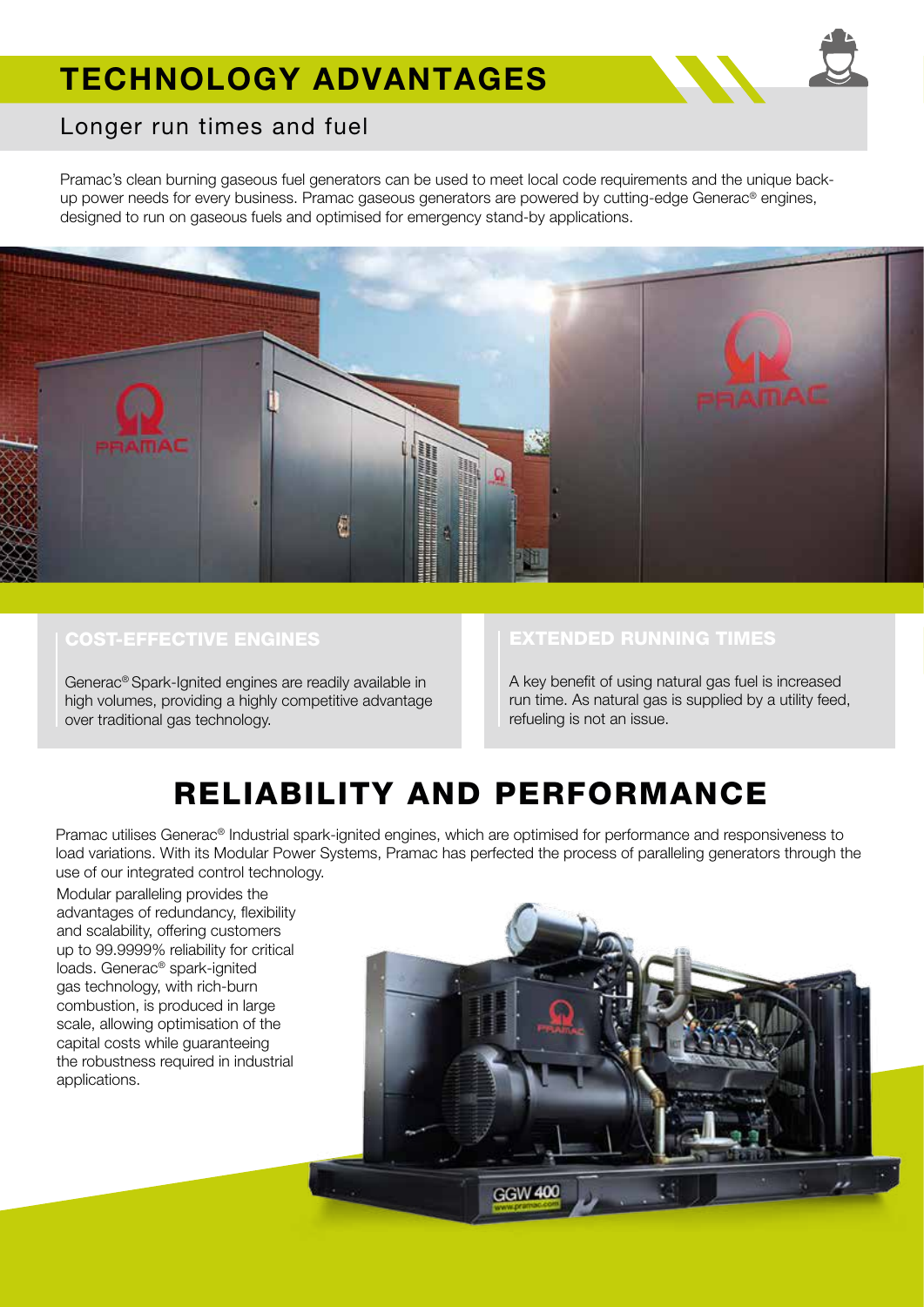# TECHNOLOGY ADVANTAGES

### Longer run times and fuel

Pramac's clean burning gaseous fuel generators can be used to meet local code requirements and the unique backup power needs for every business. Pramac gaseous generators are powered by cutting-edge Generac® engines, designed to run on gaseous fuels and optimised for emergency stand-by applications.



Generac® Spark-Ignited engines are readily available in high volumes, providing a highly competitive advantage over traditional gas technology.

### COST-EFFECTIVE ENGINES EXTENDED RUNNING TIMES

A key benefit of using natural gas fuel is increased run time. As natural gas is supplied by a utility feed, refueling is not an issue.

# RELIABILITY AND PERFORMANCE

Pramac utilises Generac® Industrial spark-ignited engines, which are optimised for performance and responsiveness to load variations. With its Modular Power Systems, Pramac has perfected the process of paralleling generators through the use of our integrated control technology.

Modular paralleling provides the advantages of redundancy, flexibility and scalability, offering customers up to 99.9999% reliability for critical loads. Generac® spark-ignited gas technology, with rich-burn combustion, is produced in large scale, allowing optimisation of the capital costs while guaranteeing the robustness required in industrial applications.

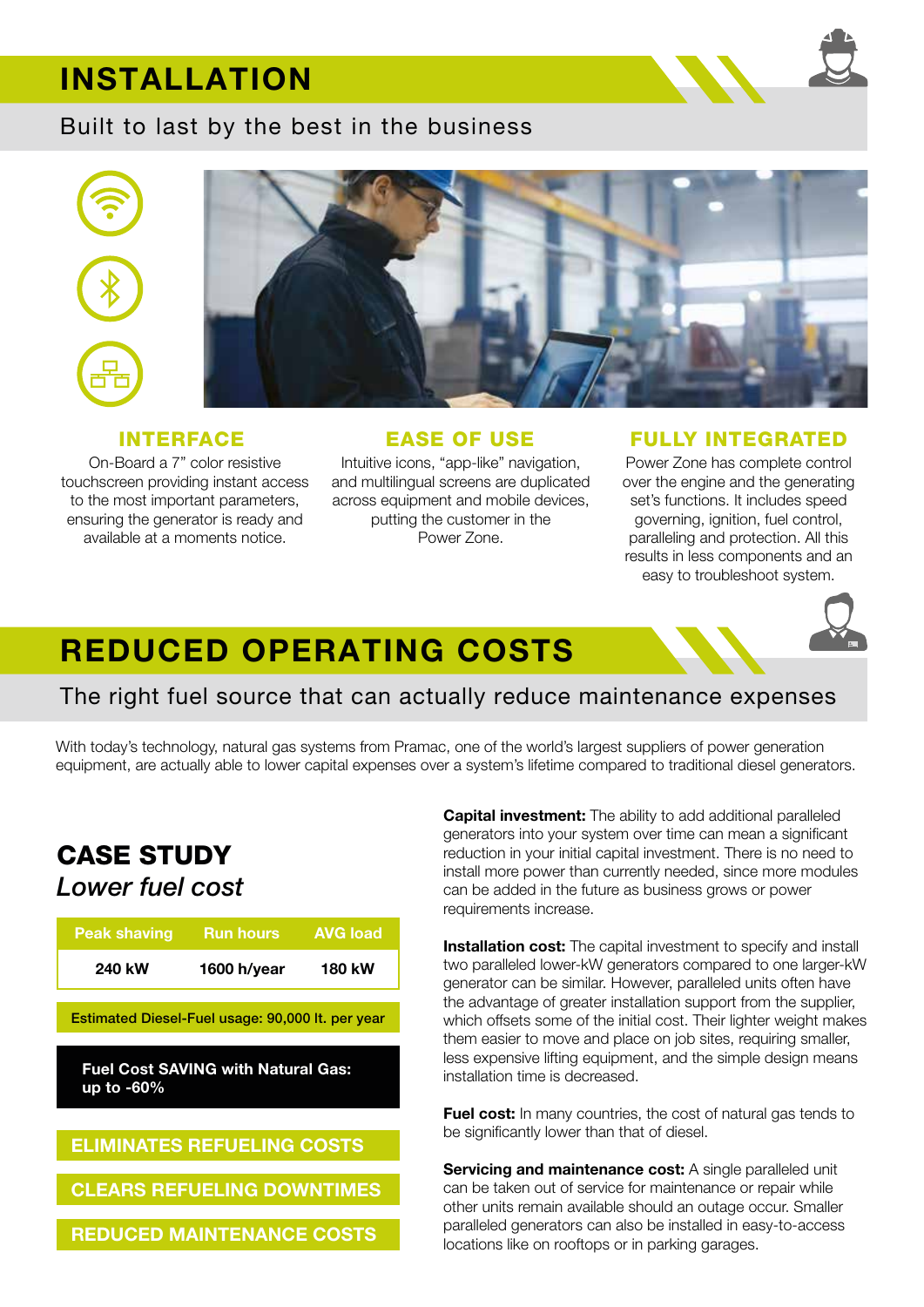# INSTALLATION



### Built to last by the best in the business





On-Board a 7" color resistive touchscreen providing instant access to the most important parameters, ensuring the generator is ready and available at a moments notice.

Intuitive icons, "app-like" navigation, and multilingual screens are duplicated across equipment and mobile devices, putting the customer in the Power Zone.

### INTERFACE **EASE OF USE FULLY INTEGRATED**

Power Zone has complete control over the engine and the generating set's functions. It includes speed governing, ignition, fuel control, paralleling and protection. All this results in less components and an easy to troubleshoot system.



# REDUCED OPERATING COSTS

### The right fuel source that can actually reduce maintenance expenses

With today's technology, natural gas systems from Pramac, one of the world's largest suppliers of power generation equipment, are actually able to lower capital expenses over a system's lifetime compared to traditional diesel generators.

# CASE STUDY *Lower fuel cost*

| <b>Peak shaving</b>                                     | <b>Run hours</b> | <b>AVG load</b> |  |  |  |
|---------------------------------------------------------|------------------|-----------------|--|--|--|
| 240 kW                                                  | 1600 h/year      | <b>180 kW</b>   |  |  |  |
| Estimated Diesel-Fuel usage: 90,000 lt. per year        |                  |                 |  |  |  |
| <b>Fuel Cost SAVING with Natural Gas:</b><br>up to -60% |                  |                 |  |  |  |
| <b>ELIMINATES REFUELING COSTS</b>                       |                  |                 |  |  |  |
| <b>CLEARS REFUELING DOWNTIMES</b>                       |                  |                 |  |  |  |
| <b>REDUCED MAINTENANCE COSTS</b>                        |                  |                 |  |  |  |

**Capital investment:** The ability to add additional paralleled generators into your system over time can mean a significant reduction in your initial capital investment. There is no need to install more power than currently needed, since more modules can be added in the future as business grows or power requirements increase.

**Installation cost:** The capital investment to specify and install two paralleled lower-kW generators compared to one larger-kW generator can be similar. However, paralleled units often have the advantage of greater installation support from the supplier, which offsets some of the initial cost. Their lighter weight makes them easier to move and place on job sites, requiring smaller, less expensive lifting equipment, and the simple design means installation time is decreased.

**Fuel cost:** In many countries, the cost of natural gas tends to be significantly lower than that of diesel.

**Servicing and maintenance cost:** A single paralleled unit can be taken out of service for maintenance or repair while other units remain available should an outage occur. Smaller paralleled generators can also be installed in easy-to-access locations like on rooftops or in parking garages.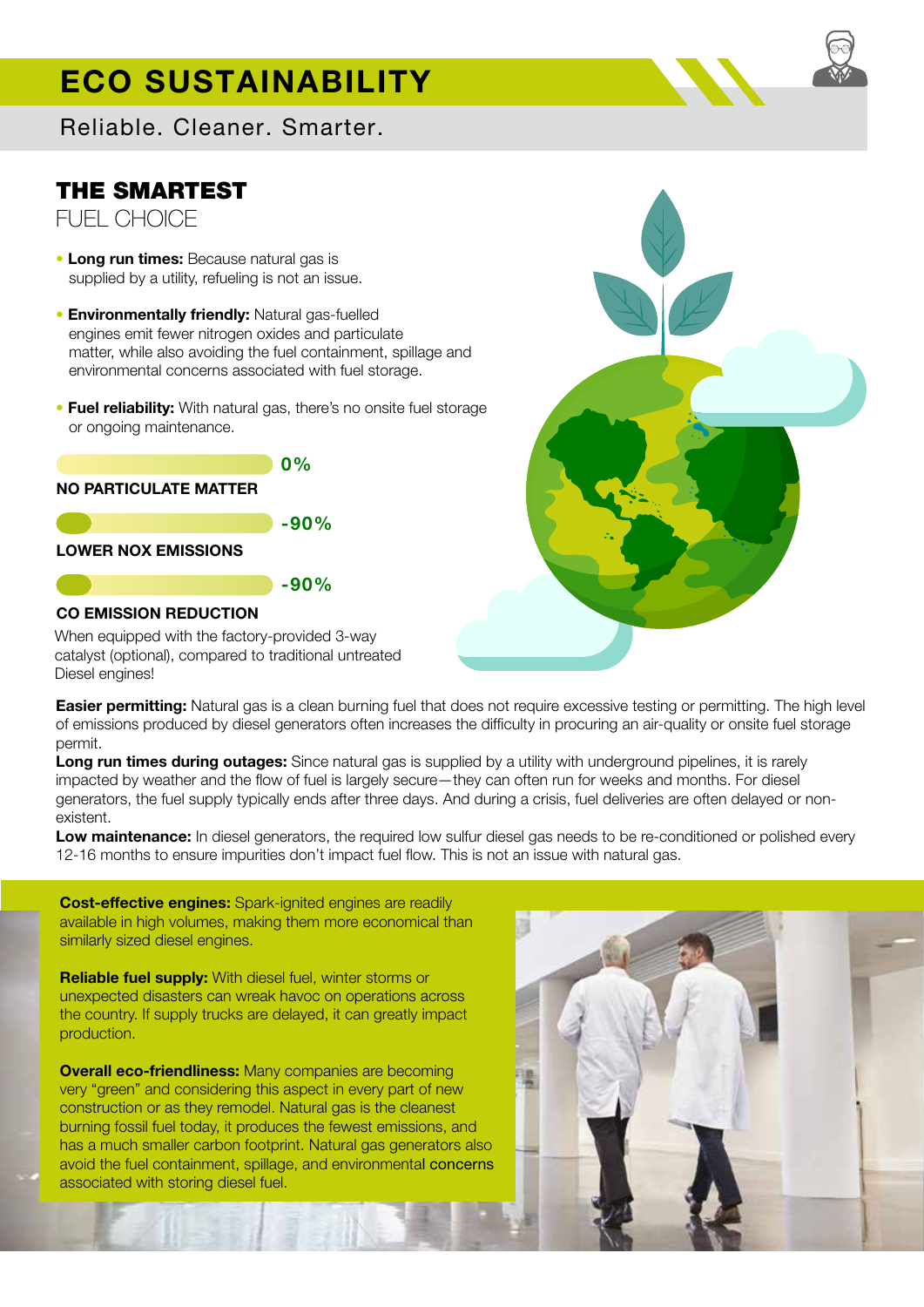# ECO SUSTAINABILITY

Reliable. Cleaner. Smarter.



## THE SMARTEST

FUEL CHOICE

- **Long run times:** Because natural gas is supplied by a utility, refueling is not an issue.
- **Environmentally friendly:** Natural gas-fuelled engines emit fewer nitrogen oxides and particulate matter, while also avoiding the fuel containment, spillage and environmental concerns associated with fuel storage.
- **Fuel reliability:** With natural gas, there's no onsite fuel storage or ongoing maintenance.

0%

-90%

### **NO PARTICULATE MATTER**

### -90% **LOWER NOX EMISSIONS**

### **CO EMISSION REDUCTION**

When equipped with the factory-provided 3-way catalyst (optional), compared to traditional untreated Diesel engines!

**Easier permitting:** Natural gas is a clean burning fuel that does not require excessive testing or permitting. The high level of emissions produced by diesel generators often increases the difficulty in procuring an air-quality or onsite fuel storage permit.

**Long run times during outages:** Since natural gas is supplied by a utility with underground pipelines, it is rarely impacted by weather and the flow of fuel is largely secure—they can often run for weeks and months. For diesel generators, the fuel supply typically ends after three days. And during a crisis, fuel deliveries are often delayed or nonexistent.

**Low maintenance:** In diesel generators, the required low sulfur diesel gas needs to be re-conditioned or polished every 12-16 months to ensure impurities don't impact fuel flow. This is not an issue with natural gas.

**Cost-effective engines:** Spark-ignited engines are readily available in high volumes, making them more economical than similarly sized diesel engines.

**Reliable fuel supply:** With diesel fuel, winter storms or unexpected disasters can wreak havoc on operations across the country. If supply trucks are delayed, it can greatly impact production.

**Overall eco-friendliness:** Many companies are becoming very "green" and considering this aspect in every part of new construction or as they remodel. Natural gas is the cleanest burning fossil fuel today, it produces the fewest emissions, and has a much smaller carbon footprint. Natural gas generators also avoid the fuel containment, spillage, and environmental concerns associated with storing diesel fuel.

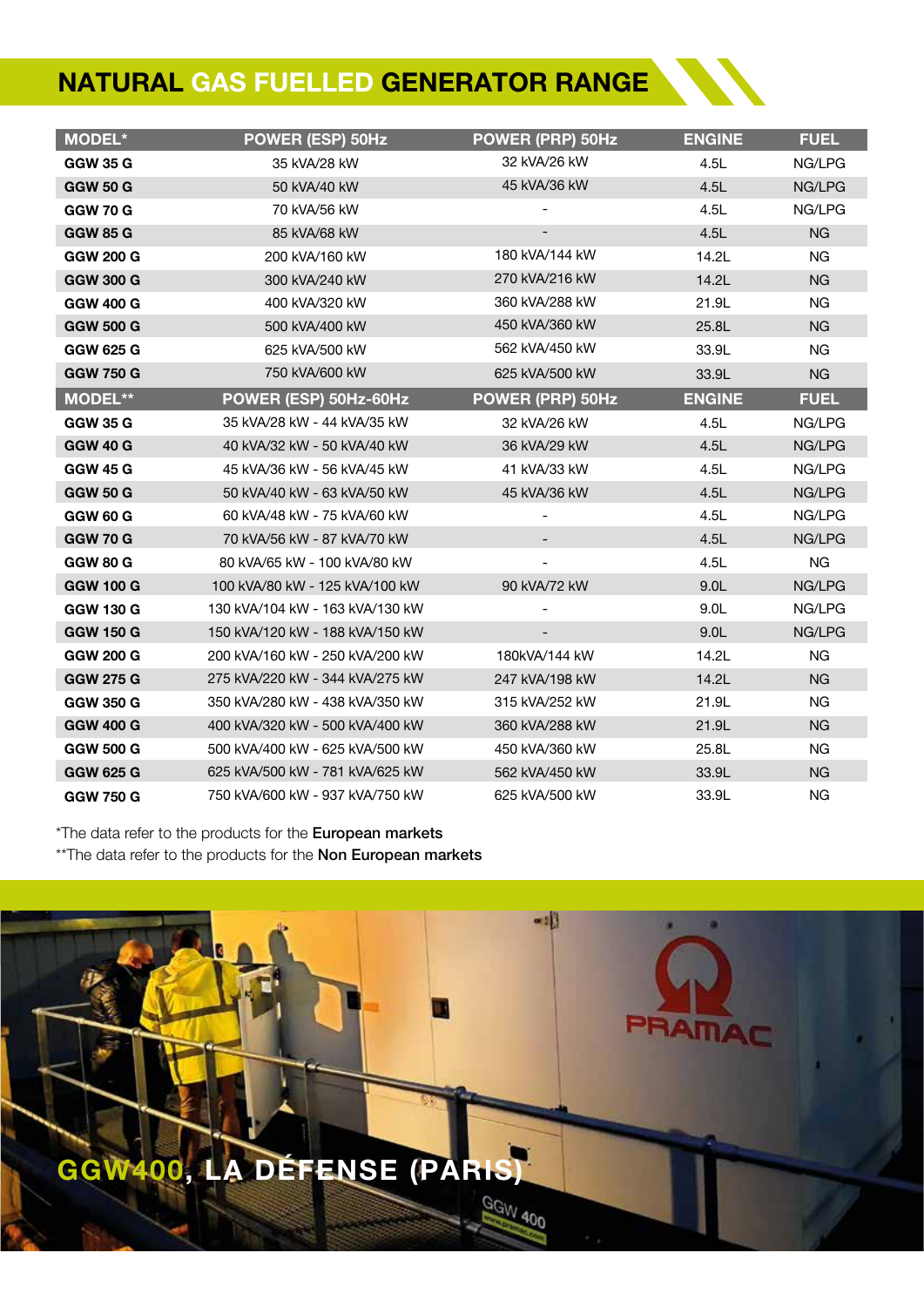# NATURAL GAS FUELLED GENERATOR RANGE

| <b>MODEL*</b>    | <b>POWER (ESP) 50Hz</b>         | <b>POWER (PRP) 50Hz</b>  | <b>ENGINE</b>    | <b>FUEL</b> |
|------------------|---------------------------------|--------------------------|------------------|-------------|
| <b>GGW 35 G</b>  | 35 kVA/28 kW                    | 32 kVA/26 kW             | 4.5L             | NG/LPG      |
| <b>GGW 50 G</b>  | 50 kVA/40 kW                    | 45 kVA/36 kW             | 4.5L             | NG/LPG      |
| <b>GGW 70 G</b>  | 70 kVA/56 kW                    |                          | 4.5L             | NG/LPG      |
| <b>GGW 85 G</b>  | 85 kVA/68 kW                    |                          | 4.5L             | <b>NG</b>   |
| <b>GGW 200 G</b> | 200 kVA/160 kW                  | 180 kVA/144 kW           | 14.2L            | <b>NG</b>   |
| <b>GGW 300 G</b> | 300 kVA/240 kW                  | 270 kVA/216 kW           | 14.2L            | <b>NG</b>   |
| <b>GGW 400 G</b> | 400 kVA/320 kW                  | 360 kVA/288 kW           | 21.9L            | NG.         |
| <b>GGW 500 G</b> | 500 kVA/400 kW                  | 450 kVA/360 kW           | 25.8L            | <b>NG</b>   |
| <b>GGW 625 G</b> | 625 kVA/500 kW                  | 562 kVA/450 kW           | 33.9L            | <b>NG</b>   |
| <b>GGW 750 G</b> | 750 kVA/600 kW                  | 625 kVA/500 kW           | 33.9L            | <b>NG</b>   |
| <b>MODEL**</b>   | POWER (ESP) 50Hz-60Hz           | <b>POWER (PRP) 50Hz</b>  | <b>ENGINE</b>    | <b>FUEL</b> |
| <b>GGW 35 G</b>  | 35 kVA/28 kW - 44 kVA/35 kW     | 32 kVA/26 kW             | 4.5L             | NG/LPG      |
| <b>GGW 40 G</b>  | 40 kVA/32 kW - 50 kVA/40 kW     | 36 kVA/29 kW             | 4.5L             | NG/LPG      |
| <b>GGW 45 G</b>  | 45 kVA/36 kW - 56 kVA/45 kW     | 41 kVA/33 kW             | 4.5L             | NG/LPG      |
| <b>GGW 50 G</b>  | 50 kVA/40 kW - 63 kVA/50 kW     | 45 kVA/36 kW             | 4.5L             | NG/LPG      |
| <b>GGW 60 G</b>  | 60 kVA/48 kW - 75 kVA/60 kW     | $\overline{\phantom{a}}$ | 4.5L             | NG/LPG      |
| <b>GGW 70 G</b>  | 70 KVA/56 KW - 87 KVA/70 KW     |                          | 4.5L             | NG/LPG      |
| <b>GGW 80 G</b>  | 80 kVA/65 kW - 100 kVA/80 kW    |                          | 4.5L             | <b>NG</b>   |
| <b>GGW 100 G</b> | 100 kVA/80 kW - 125 kVA/100 kW  | 90 kVA/72 kW             | 9.0L             | NG/LPG      |
| <b>GGW 130 G</b> | 130 kVA/104 kW - 163 kVA/130 kW |                          | 9.0 <sub>L</sub> | NG/LPG      |
| <b>GGW 150 G</b> | 150 kVA/120 kW - 188 kVA/150 kW | $\overline{\phantom{a}}$ | 9.0L             | NG/LPG      |
| <b>GGW 200 G</b> | 200 kVA/160 kW - 250 kVA/200 kW | 180kVA/144 kW            | 14.2L            | <b>NG</b>   |
| <b>GGW 275 G</b> | 275 kVA/220 kW - 344 kVA/275 kW | 247 kVA/198 kW           | 14.2L            | <b>NG</b>   |
| <b>GGW 350 G</b> | 350 kVA/280 kW - 438 kVA/350 kW | 315 kVA/252 kW           | 21.9L            | NG.         |
| <b>GGW 400 G</b> | 400 KVA/320 KW - 500 KVA/400 KW | 360 kVA/288 kW           | 21.9L            | <b>NG</b>   |
| <b>GGW 500 G</b> | 500 kVA/400 kW - 625 kVA/500 kW | 450 kVA/360 kW           | 25.8L            | ΝG          |
| <b>GGW 625 G</b> | 625 kVA/500 kW - 781 kVA/625 kW | 562 kVA/450 kW           | 33.9L            | <b>NG</b>   |
| <b>GGW 750 G</b> | 750 KVA/600 KW - 937 KVA/750 KW | 625 kVA/500 kW           | 33.9L            | <b>NG</b>   |

\*The data refer to the products for the European markets \*\* The data refer to the products for the Non European markets